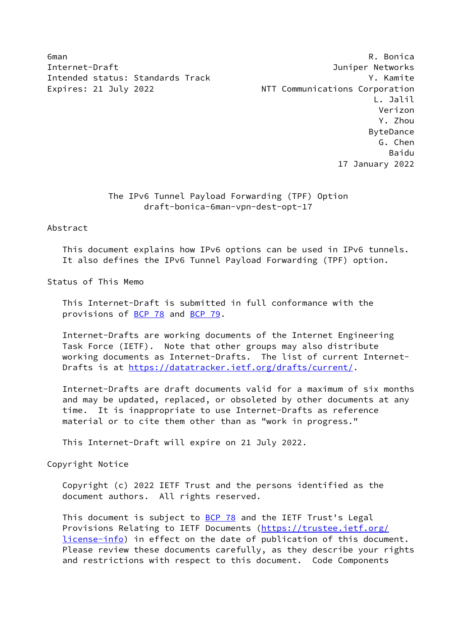Internet-Draft Juniper Networks Intended status: Standards Track Y. Kamite Expires: 21 July 2022 **NTT Communications Corporation** 

6man R. Bonica L. Jalil Verizon Y. Zhou ByteDance G. Chen e a componente de la construction de la componente de la componente de la componente de la componente de la co 17 January 2022

## The IPv6 Tunnel Payload Forwarding (TPF) Option draft-bonica-6man-vpn-dest-opt-17

## Abstract

 This document explains how IPv6 options can be used in IPv6 tunnels. It also defines the IPv6 Tunnel Payload Forwarding (TPF) option.

Status of This Memo

 This Internet-Draft is submitted in full conformance with the provisions of [BCP 78](https://datatracker.ietf.org/doc/pdf/bcp78) and [BCP 79](https://datatracker.ietf.org/doc/pdf/bcp79).

 Internet-Drafts are working documents of the Internet Engineering Task Force (IETF). Note that other groups may also distribute working documents as Internet-Drafts. The list of current Internet- Drafts is at<https://datatracker.ietf.org/drafts/current/>.

 Internet-Drafts are draft documents valid for a maximum of six months and may be updated, replaced, or obsoleted by other documents at any time. It is inappropriate to use Internet-Drafts as reference material or to cite them other than as "work in progress."

This Internet-Draft will expire on 21 July 2022.

Copyright Notice

 Copyright (c) 2022 IETF Trust and the persons identified as the document authors. All rights reserved.

This document is subject to **[BCP 78](https://datatracker.ietf.org/doc/pdf/bcp78)** and the IETF Trust's Legal Provisions Relating to IETF Documents ([https://trustee.ietf.org/](https://trustee.ietf.org/license-info) [license-info](https://trustee.ietf.org/license-info)) in effect on the date of publication of this document. Please review these documents carefully, as they describe your rights and restrictions with respect to this document. Code Components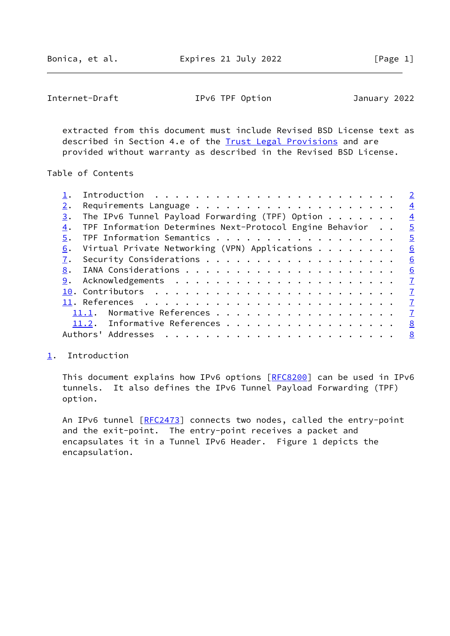<span id="page-1-1"></span>Internet-Draft IPv6 TPF Option January 2022

 extracted from this document must include Revised BSD License text as described in Section 4.e of the **Trust Legal Provisions** and are provided without warranty as described in the Revised BSD License.

Table of Contents

|    |                                                                 | $\overline{2}$ |
|----|-----------------------------------------------------------------|----------------|
|    |                                                                 | $\overline{4}$ |
| 3. | The IPv6 Tunnel Payload Forwarding (TPF) Option $\ldots \ldots$ | $\overline{4}$ |
| 4. | TPF Information Determines Next-Protocol Engine Behavior        | $\overline{5}$ |
| 5. | TPF Information Semantics                                       | $\overline{5}$ |
| 6. | Virtual Private Networking (VPN) Applications                   | 6              |
|    |                                                                 | 6              |
| 8. |                                                                 | 6              |
| 9. |                                                                 | $\mathbf{Z}$   |
|    |                                                                 | $\mathbf I$    |
|    |                                                                 | $\mathbf{Z}$   |
|    | Normative References<br>11.1.                                   | $\mathbf{Z}$   |
|    | 11.2. Informative References                                    | <u>8</u>       |
|    | Authors' Addresses                                              | 8              |
|    |                                                                 |                |

## <span id="page-1-0"></span>[1](#page-1-0). Introduction

This document explains how IPv6 options [\[RFC8200](https://datatracker.ietf.org/doc/pdf/rfc8200)] can be used in IPv6 tunnels. It also defines the IPv6 Tunnel Payload Forwarding (TPF) option.

An IPv6 tunnel [\[RFC2473](https://datatracker.ietf.org/doc/pdf/rfc2473)] connects two nodes, called the entry-point and the exit-point. The entry-point receives a packet and encapsulates it in a Tunnel IPv6 Header. Figure 1 depicts the encapsulation.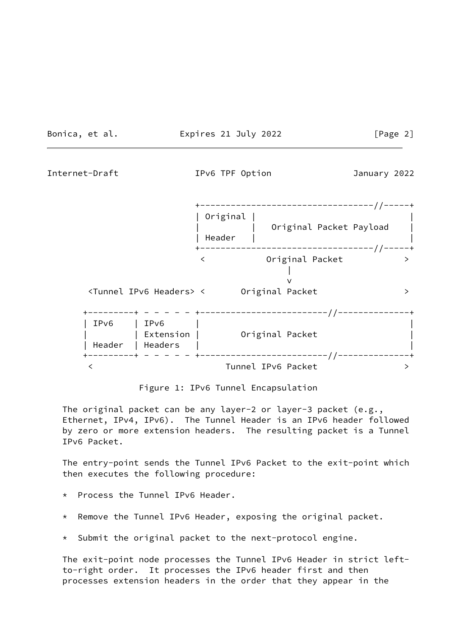Bonica, et al. **Expires 21 July 2022** [Page 2]

Internet-Draft IPv6 TPF Option January 2022



Figure 1: IPv6 Tunnel Encapsulation

 The original packet can be any layer-2 or layer-3 packet (e.g., Ethernet, IPv4, IPv6). The Tunnel Header is an IPv6 header followed by zero or more extension headers. The resulting packet is a Tunnel IPv6 Packet.

 The entry-point sends the Tunnel IPv6 Packet to the exit-point which then executes the following procedure:

- \* Process the Tunnel IPv6 Header.
- \* Remove the Tunnel IPv6 Header, exposing the original packet.
- \* Submit the original packet to the next-protocol engine.

 The exit-point node processes the Tunnel IPv6 Header in strict left to-right order. It processes the IPv6 header first and then processes extension headers in the order that they appear in the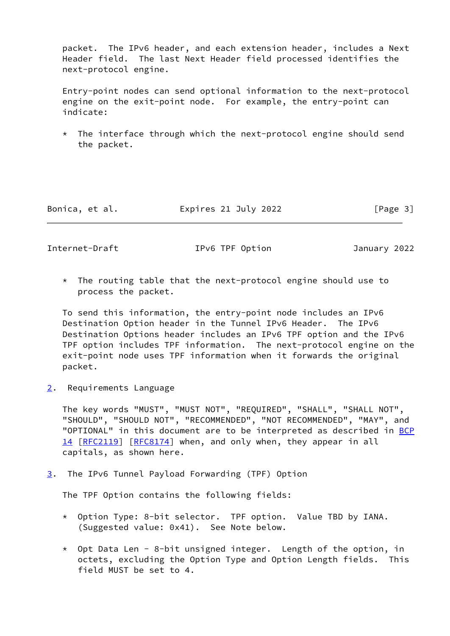packet. The IPv6 header, and each extension header, includes a Next Header field. The last Next Header field processed identifies the next-protocol engine.

 Entry-point nodes can send optional information to the next-protocol engine on the exit-point node. For example, the entry-point can indicate:

 $*$  The interface through which the next-protocol engine should send the packet.

Bonica, et al. **Expires 21 July 2022** [Page 3]

<span id="page-3-1"></span>Internet-Draft IPv6 TPF Option January 2022

 \* The routing table that the next-protocol engine should use to process the packet.

 To send this information, the entry-point node includes an IPv6 Destination Option header in the Tunnel IPv6 Header. The IPv6 Destination Options header includes an IPv6 TPF option and the IPv6 TPF option includes TPF information. The next-protocol engine on the exit-point node uses TPF information when it forwards the original packet.

<span id="page-3-0"></span>[2](#page-3-0). Requirements Language

 The key words "MUST", "MUST NOT", "REQUIRED", "SHALL", "SHALL NOT", "SHOULD", "SHOULD NOT", "RECOMMENDED", "NOT RECOMMENDED", "MAY", and "OPTIONAL" in this document are to be interpreted as described in [BCP](https://datatracker.ietf.org/doc/pdf/bcp14) [14](https://datatracker.ietf.org/doc/pdf/bcp14) [[RFC2119\]](https://datatracker.ietf.org/doc/pdf/rfc2119) [\[RFC8174](https://datatracker.ietf.org/doc/pdf/rfc8174)] when, and only when, they appear in all capitals, as shown here.

<span id="page-3-2"></span>[3](#page-3-2). The IPv6 Tunnel Payload Forwarding (TPF) Option

The TPF Option contains the following fields:

- \* Option Type: 8-bit selector. TPF option. Value TBD by IANA. (Suggested value: 0x41). See Note below.
- $*$  Opt Data Len 8-bit unsigned integer. Length of the option, in octets, excluding the Option Type and Option Length fields. This field MUST be set to 4.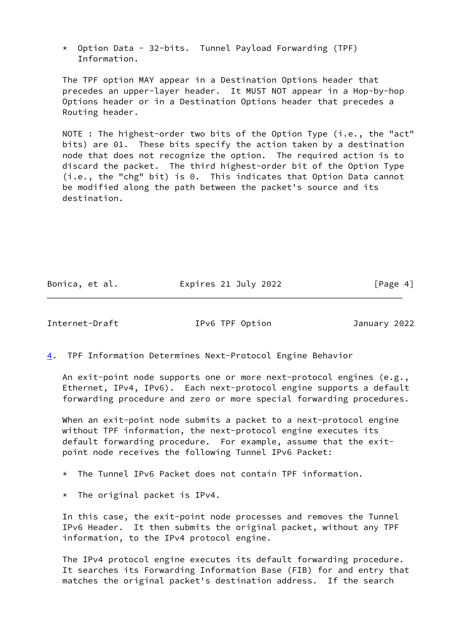\* Option Data - 32-bits. Tunnel Payload Forwarding (TPF) Information.

 The TPF option MAY appear in a Destination Options header that precedes an upper-layer header. It MUST NOT appear in a Hop-by-hop Options header or in a Destination Options header that precedes a Routing header.

 NOTE : The highest-order two bits of the Option Type (i.e., the "act" bits) are 01. These bits specify the action taken by a destination node that does not recognize the option. The required action is to discard the packet. The third highest-order bit of the Option Type (i.e., the "chg" bit) is 0. This indicates that Option Data cannot be modified along the path between the packet's source and its destination.

Bonica, et al. <br>Expires 21 July 2022 [Page 4]

<span id="page-4-1"></span>Internet-Draft IPv6 TPF Option January 2022

<span id="page-4-0"></span>[4](#page-4-0). TPF Information Determines Next-Protocol Engine Behavior

 An exit-point node supports one or more next-protocol engines (e.g., Ethernet, IPv4, IPv6). Each next-protocol engine supports a default forwarding procedure and zero or more special forwarding procedures.

When an exit-point node submits a packet to a next-protocol engine without TPF information, the next-protocol engine executes its default forwarding procedure. For example, assume that the exit point node receives the following Tunnel IPv6 Packet:

- \* The Tunnel IPv6 Packet does not contain TPF information.
- \* The original packet is IPv4.

 In this case, the exit-point node processes and removes the Tunnel IPv6 Header. It then submits the original packet, without any TPF information, to the IPv4 protocol engine.

 The IPv4 protocol engine executes its default forwarding procedure. It searches its Forwarding Information Base (FIB) for and entry that matches the original packet's destination address. If the search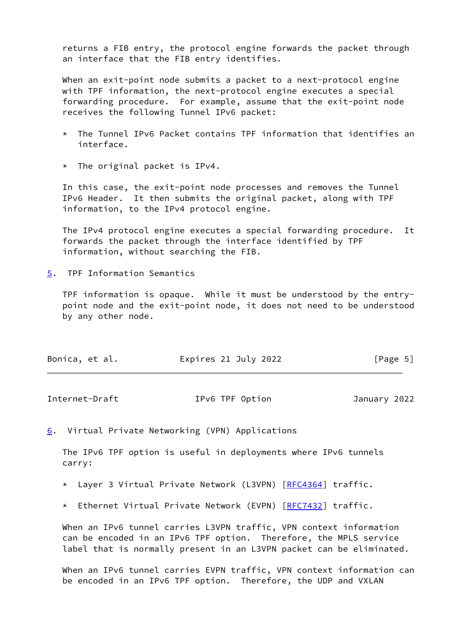returns a FIB entry, the protocol engine forwards the packet through an interface that the FIB entry identifies.

When an exit-point node submits a packet to a next-protocol engine with TPF information, the next-protocol engine executes a special forwarding procedure. For example, assume that the exit-point node receives the following Tunnel IPv6 packet:

- The Tunnel IPv6 Packet contains TPF information that identifies an interface.
- \* The original packet is IPv4.

 In this case, the exit-point node processes and removes the Tunnel IPv6 Header. It then submits the original packet, along with TPF information, to the IPv4 protocol engine.

 The IPv4 protocol engine executes a special forwarding procedure. It forwards the packet through the interface identified by TPF information, without searching the FIB.

<span id="page-5-0"></span>[5](#page-5-0). TPF Information Semantics

 TPF information is opaque. While it must be understood by the entry point node and the exit-point node, it does not need to be understood by any other node.

| Bonica, et al. | Expires 21 July 2022 | [Page 5] |
|----------------|----------------------|----------|
|----------------|----------------------|----------|

<span id="page-5-2"></span>

| Internet-Draft | IPv6 TPF Option | January 2022 |
|----------------|-----------------|--------------|
|                |                 |              |

<span id="page-5-1"></span>[6](#page-5-1). Virtual Private Networking (VPN) Applications

 The IPv6 TPF option is useful in deployments where IPv6 tunnels carry:

\* Layer 3 Virtual Private Network (L3VPN) [[RFC4364\]](https://datatracker.ietf.org/doc/pdf/rfc4364) traffic.

\* Ethernet Virtual Private Network (EVPN) [[RFC7432\]](https://datatracker.ietf.org/doc/pdf/rfc7432) traffic.

 When an IPv6 tunnel carries L3VPN traffic, VPN context information can be encoded in an IPv6 TPF option. Therefore, the MPLS service label that is normally present in an L3VPN packet can be eliminated.

 When an IPv6 tunnel carries EVPN traffic, VPN context information can be encoded in an IPv6 TPF option. Therefore, the UDP and VXLAN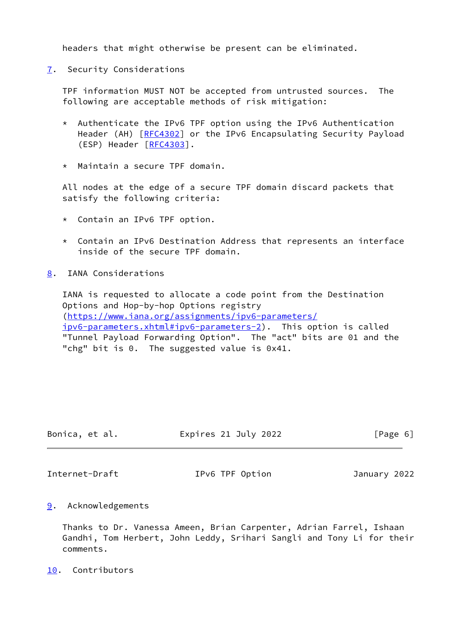headers that might otherwise be present can be eliminated.

<span id="page-6-0"></span>[7](#page-6-0). Security Considerations

 TPF information MUST NOT be accepted from untrusted sources. The following are acceptable methods of risk mitigation:

- \* Authenticate the IPv6 TPF option using the IPv6 Authentication Header (AH) [\[RFC4302](https://datatracker.ietf.org/doc/pdf/rfc4302)] or the IPv6 Encapsulating Security Payload (ESP) Header [\[RFC4303](https://datatracker.ietf.org/doc/pdf/rfc4303)].
- \* Maintain a secure TPF domain.

 All nodes at the edge of a secure TPF domain discard packets that satisfy the following criteria:

- \* Contain an IPv6 TPF option.
- \* Contain an IPv6 Destination Address that represents an interface inside of the secure TPF domain.
- <span id="page-6-1"></span>[8](#page-6-1). IANA Considerations

 IANA is requested to allocate a code point from the Destination Options and Hop-by-hop Options registry [\(https://www.iana.org/assignments/ipv6-parameters/](https://www.iana.org/assignments/ipv6-parameters/ipv6-parameters.xhtml#ipv6-parameters-2) [ipv6-parameters.xhtml#ipv6-parameters-2](https://www.iana.org/assignments/ipv6-parameters/ipv6-parameters.xhtml#ipv6-parameters-2)). This option is called "Tunnel Payload Forwarding Option". The "act" bits are 01 and the "chg" bit is 0. The suggested value is 0x41.

| Bonica, et al. | Expires 21 July 2022 | [Page 6] |
|----------------|----------------------|----------|
|                |                      |          |

<span id="page-6-3"></span>Internet-Draft IPv6 TPF Option January 2022

<span id="page-6-2"></span>[9](#page-6-2). Acknowledgements

 Thanks to Dr. Vanessa Ameen, Brian Carpenter, Adrian Farrel, Ishaan Gandhi, Tom Herbert, John Leddy, Srihari Sangli and Tony Li for their comments.

<span id="page-6-4"></span>[10.](#page-6-4) Contributors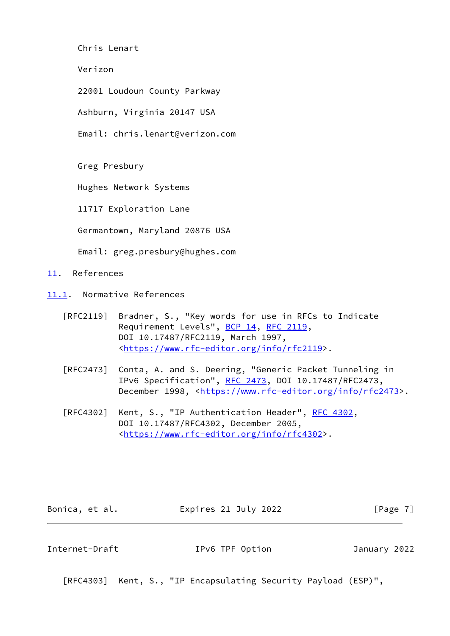Chris Lenart

Verizon

22001 Loudoun County Parkway

Ashburn, Virginia 20147 USA

Email: chris.lenart@verizon.com

Greg Presbury

Hughes Network Systems

11717 Exploration Lane

Germantown, Maryland 20876 USA

Email: greg.presbury@hughes.com

<span id="page-7-0"></span>[11.](#page-7-0) References

<span id="page-7-1"></span>[11.1](#page-7-1). Normative References

- [RFC2119] Bradner, S., "Key words for use in RFCs to Indicate Requirement Levels", [BCP 14](https://datatracker.ietf.org/doc/pdf/bcp14), [RFC 2119](https://datatracker.ietf.org/doc/pdf/rfc2119), DOI 10.17487/RFC2119, March 1997, <[https://www.rfc-editor.org/info/rfc2119>](https://www.rfc-editor.org/info/rfc2119).
- [RFC2473] Conta, A. and S. Deering, "Generic Packet Tunneling in IPv6 Specification", [RFC 2473](https://datatracker.ietf.org/doc/pdf/rfc2473), DOI 10.17487/RFC2473, December 1998, <<https://www.rfc-editor.org/info/rfc2473>>.
- [RFC4302] Kent, S., "IP Authentication Header", [RFC 4302](https://datatracker.ietf.org/doc/pdf/rfc4302), DOI 10.17487/RFC4302, December 2005, <[https://www.rfc-editor.org/info/rfc4302>](https://www.rfc-editor.org/info/rfc4302).

Bonica, et al. **Expires 21 July 2022** [Page 7]

<span id="page-7-2"></span>Internet-Draft IPv6 TPF Option January 2022

[RFC4303] Kent, S., "IP Encapsulating Security Payload (ESP)",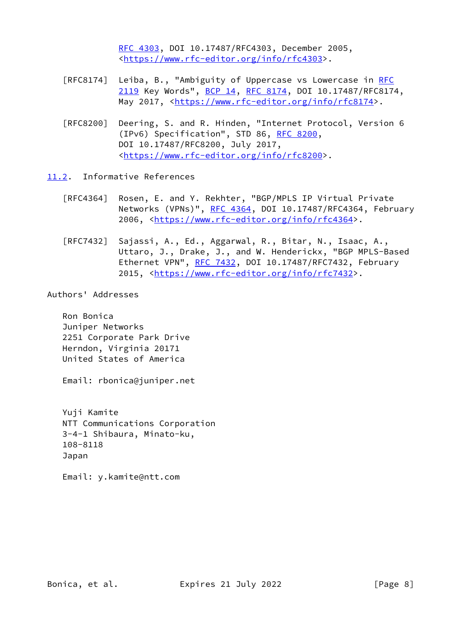[RFC 4303,](https://datatracker.ietf.org/doc/pdf/rfc4303) DOI 10.17487/RFC4303, December 2005, <[https://www.rfc-editor.org/info/rfc4303>](https://www.rfc-editor.org/info/rfc4303).

- [RFC8174] Leiba, B., "Ambiguity of Uppercase vs Lowercase in [RFC](https://datatracker.ietf.org/doc/pdf/rfc2119) [2119](https://datatracker.ietf.org/doc/pdf/rfc2119) Key Words", [BCP 14](https://datatracker.ietf.org/doc/pdf/bcp14), [RFC 8174,](https://datatracker.ietf.org/doc/pdf/rfc8174) DOI 10.17487/RFC8174, May 2017, [<https://www.rfc-editor.org/info/rfc8174](https://www.rfc-editor.org/info/rfc8174)>.
- [RFC8200] Deering, S. and R. Hinden, "Internet Protocol, Version 6 (IPv6) Specification", STD 86, [RFC 8200](https://datatracker.ietf.org/doc/pdf/rfc8200), DOI 10.17487/RFC8200, July 2017, <[https://www.rfc-editor.org/info/rfc8200>](https://www.rfc-editor.org/info/rfc8200).

<span id="page-8-0"></span>[11.2](#page-8-0). Informative References

- [RFC4364] Rosen, E. and Y. Rekhter, "BGP/MPLS IP Virtual Private Networks (VPNs)", [RFC 4364](https://datatracker.ietf.org/doc/pdf/rfc4364), DOI 10.17487/RFC4364, February 2006, [<https://www.rfc-editor.org/info/rfc4364](https://www.rfc-editor.org/info/rfc4364)>.
- [RFC7432] Sajassi, A., Ed., Aggarwal, R., Bitar, N., Isaac, A., Uttaro, J., Drake, J., and W. Henderickx, "BGP MPLS-Based Ethernet VPN", [RFC 7432](https://datatracker.ietf.org/doc/pdf/rfc7432), DOI 10.17487/RFC7432, February 2015, [<https://www.rfc-editor.org/info/rfc7432](https://www.rfc-editor.org/info/rfc7432)>.

Authors' Addresses

 Ron Bonica Juniper Networks 2251 Corporate Park Drive Herndon, Virginia 20171 United States of America

Email: rbonica@juniper.net

 Yuji Kamite NTT Communications Corporation 3-4-1 Shibaura, Minato-ku, 108-8118 Japan

Email: y.kamite@ntt.com